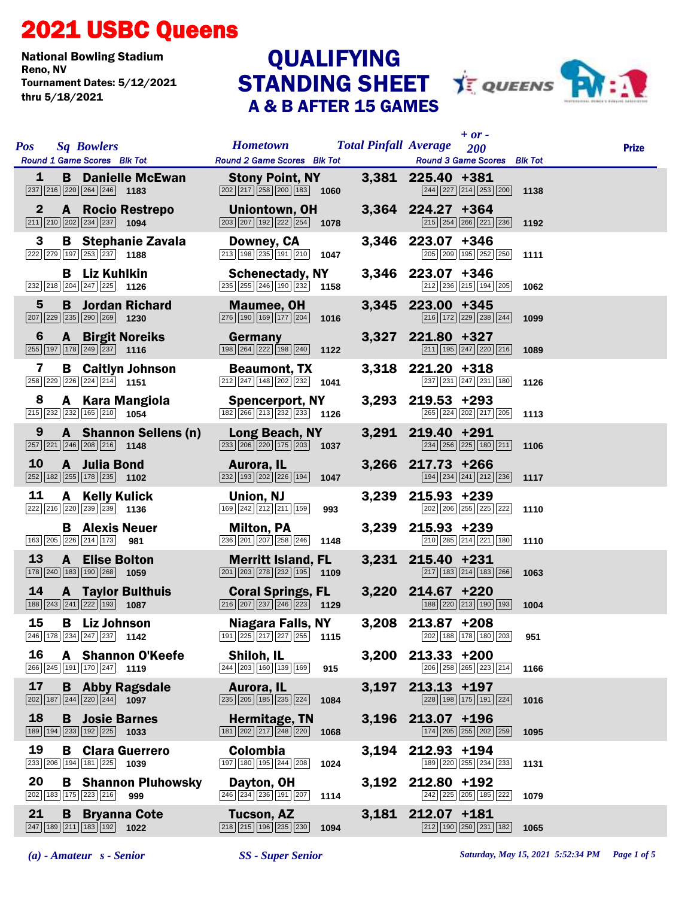## 2021 USBC Queens

National Bowling Stadium Tournament Dates: 5/12/2021 thru 5/18/2021

## STANDING SHEET **JE QUEENS** PW: A & B AFTER 15 GAMES **QUALIFYING**



| <b>Sq Bowlers</b><br><b>Pos</b><br>Round 1 Game Scores Blk Tot                                                          | <b>Hometown</b><br>Round 2 Game Scores Blk Tot                                                              | <b>Total Pinfall Average</b> | $+$ or $-$<br>200<br>Round 3 Game Scores Blk Tot                                           | <b>Prize</b> |
|-------------------------------------------------------------------------------------------------------------------------|-------------------------------------------------------------------------------------------------------------|------------------------------|--------------------------------------------------------------------------------------------|--------------|
| $\mathbf{1}$<br><b>B</b> Danielle McEwan<br>$\boxed{237}$ $\boxed{216}$ $\boxed{220}$ $\boxed{264}$ $\boxed{246}$ 1183  | <b>Stony Point, NY</b><br>$\boxed{202}$ $\boxed{217}$ $\boxed{258}$ $\boxed{200}$ 183 1060                  |                              | 3,381 225.40 +381<br>$\boxed{244}$ $\boxed{227}$ $\boxed{214}$ $\boxed{253}$ $\boxed{200}$ | 1138         |
| $\mathbf{2}$<br>A Rocio Restrepo<br>$\boxed{211}$ $\boxed{210}$ $\boxed{202}$ $\boxed{234}$ $\boxed{237}$ <b>1094</b>   | Uniontown, OH<br>$\boxed{203}$ $\boxed{207}$ $\boxed{192}$ $\boxed{222}$ $\boxed{254}$ <b>1078</b>          |                              | 3,364 224.27 +364<br>$\boxed{215}$ $\boxed{254}$ $\boxed{266}$ $\boxed{221}$ $\boxed{236}$ | 1192         |
| 3<br><b>B</b> Stephanie Zavala<br>222 279 197 253 237 1188                                                              | Downey, CA<br>$\boxed{213}$ 198 $\boxed{235}$ 191 $\boxed{210}$ 1047                                        |                              | 3,346 223.07 +346<br>205 209 195 252 250                                                   | 1111         |
| <b>B</b> Liz Kuhlkin<br>$\boxed{232}$ $\boxed{218}$ $\boxed{204}$ $\boxed{247}$ $\boxed{225}$ <b>1126</b>               | <b>Schenectady, NY</b><br>$\boxed{235}$ $\boxed{255}$ $\boxed{246}$ $\boxed{190}$ $\boxed{232}$ <b>1158</b> |                              | 3,346 223.07 +346<br>212 236 215 194 205                                                   | 1062         |
| 5<br><b>B</b> Jordan Richard<br>207 229 235 290 269 1230                                                                | Maumee, OH<br>$\boxed{276}$ $\boxed{190}$ $\boxed{169}$ $\boxed{177}$ $\boxed{204}$ 1016                    |                              | 3,345 223.00 +345<br>216 172 229 238 244                                                   | 1099         |
| $6\phantom{1}6$<br><b>A</b> Birgit Noreiks<br>$\boxed{255}$ 197 178 249 237 1116                                        | Germany<br>198 264 222 198 240 1122                                                                         |                              | 3,327 221.80 +327<br>$\boxed{211}$ $\boxed{195}$ $\boxed{247}$ $\boxed{220}$ $\boxed{216}$ | 1089         |
| 7<br><b>B</b> Caitlyn Johnson<br>$\boxed{258}$ $\boxed{229}$ $\boxed{226}$ $\boxed{224}$ $\boxed{214}$ 1151             | <b>Beaumont, TX</b><br>$\boxed{212}\boxed{247}\boxed{148}\boxed{202}\boxed{232}$ 1041                       |                              | 3,318 221.20 +318<br>237 231 247 231 180                                                   | 1126         |
| 8<br>A Kara Mangiola<br>215 232 232 165 210 1054                                                                        | <b>Spencerport, NY</b><br>$\boxed{182}$ $\boxed{266}$ $\boxed{213}$ $\boxed{232}$ $\boxed{233}$ <b>1126</b> |                              | 3,293 219.53 +293<br>265 224 202 217 205                                                   | 1113         |
| 9<br>A Shannon Sellens (n)<br>257 221 246 208 216 1148                                                                  | Long Beach, NY<br>233 206 220 175 203 1037                                                                  |                              | 3,291 219.40 +291<br>$\boxed{234}$ $\boxed{256}$ $\boxed{225}$ $\boxed{180}$ $\boxed{211}$ | 1106         |
| <b>10</b><br>A Julia Bond<br>252 182 255 178 235 1102                                                                   | Aurora, IL<br>232 193 202 226 194 1047                                                                      |                              | 3,266 217.73 +266<br>$\boxed{194}$ $\boxed{234}$ $\boxed{241}$ $\boxed{212}$ $\boxed{236}$ | 1117         |
| 11<br>A Kelly Kulick<br>222 216 220 239 239 1136                                                                        | Union, NJ<br>$\boxed{169}$ $\boxed{242}$ $\boxed{212}$ $\boxed{211}$ $\boxed{159}$<br>993                   |                              | 3,239 215.93 +239<br>202 206 255 225 222                                                   | 1110         |
| <b>B</b> Alexis Neuer<br>163 205 226 214 173 981                                                                        | <b>Milton, PA</b><br>236 201 207 258 246<br>1148                                                            |                              | 3,239 215.93 +239<br>210 285 214 221 180                                                   | 1110         |
| <b>13</b><br><b>A</b> Elise Bolton<br>$\boxed{178}$ $\boxed{240}$ $\boxed{183}$ $\boxed{190}$ $\boxed{268}$ <b>1059</b> | <b>Merritt Island, FL</b><br>$\boxed{201}$ $\boxed{203}$ $\boxed{278}$ $\boxed{232}$ $\boxed{195}$ 1109     |                              | 3,231 215.40 +231<br>$\boxed{217}$ $\boxed{183}$ $\boxed{214}$ $\boxed{183}$ $\boxed{266}$ | 1063         |
| 14<br><b>A</b> Taylor Bulthuis<br>$\boxed{188}\boxed{243}\boxed{241}\boxed{222}\boxed{193}$ 1087                        | <b>Coral Springs, FL</b><br>$\boxed{216}\boxed{207}\boxed{237}\boxed{246}\boxed{223}$ 1129                  |                              | 3,220 214.67 +220<br>188 220 213 190 193                                                   | 1004         |
| 15<br><b>B</b> Liz Johnson<br>246 178 234 247 237 1142                                                                  | <b>Niagara Falls, NY</b><br>191 225 217 227 255 1115                                                        |                              | 3,208 213.87 +208<br>202 188 178 180 203 951                                               |              |
| 16<br><b>A</b> Shannon O'Keefe<br>266 245 191 170 247 1119                                                              | Shiloh, IL<br>244 203 160 139 169<br>915                                                                    |                              | $3,200$ 213.33 +200<br>206 258 265 223 214                                                 | 1166         |
| 17<br><b>B</b> Abby Ragsdale<br>$\boxed{202}$ 187 $\boxed{244}$ $\boxed{220}$ $\boxed{244}$ 1097                        | Aurora, IL<br>235 205 185 235 224<br>1084                                                                   |                              | 3,197 213.13 +197<br>228 198 175 191 224                                                   | 1016         |
| 18<br><b>B</b> Josie Barnes<br>189 194 233 192 225 1033                                                                 | Hermitage, TN<br>$\boxed{181}\boxed{202}\boxed{217}\boxed{248}\boxed{220}$<br>1068                          |                              | 3,196 213.07 +196<br>174 205 255 202 259                                                   | 1095         |
| 19<br><b>B</b> Clara Guerrero<br>233 206 194 181 225 1039                                                               | Colombia<br>197 180 195 244 208<br>1024                                                                     |                              | 3,194 212.93 +194<br>189 220 255 234 233                                                   | 1131         |
| 20<br><b>B</b> Shannon Pluhowsky<br>202 183 175 223 216<br>999                                                          | Dayton, OH<br>$\boxed{246}$ $\boxed{234}$ $\boxed{236}$ $\boxed{191}$ $\boxed{207}$<br>1114                 |                              | 3,192 212.80 +192<br>242 225 205 185 222                                                   | 1079         |
| 21<br><b>B</b> Bryanna Cote<br>$\boxed{247}$ 189 $\boxed{211}$ 183 192 1022                                             | <b>Tucson, AZ</b><br>218 215 196 235 230<br>1094                                                            |                              | 3,181 212.07 +181<br>212 190 250 231 182                                                   | 1065         |

*(a) - Amateur s - Senior SS - Super Senior Saturday, May 15, 2021 5:52:34 PM Page 1 of 5*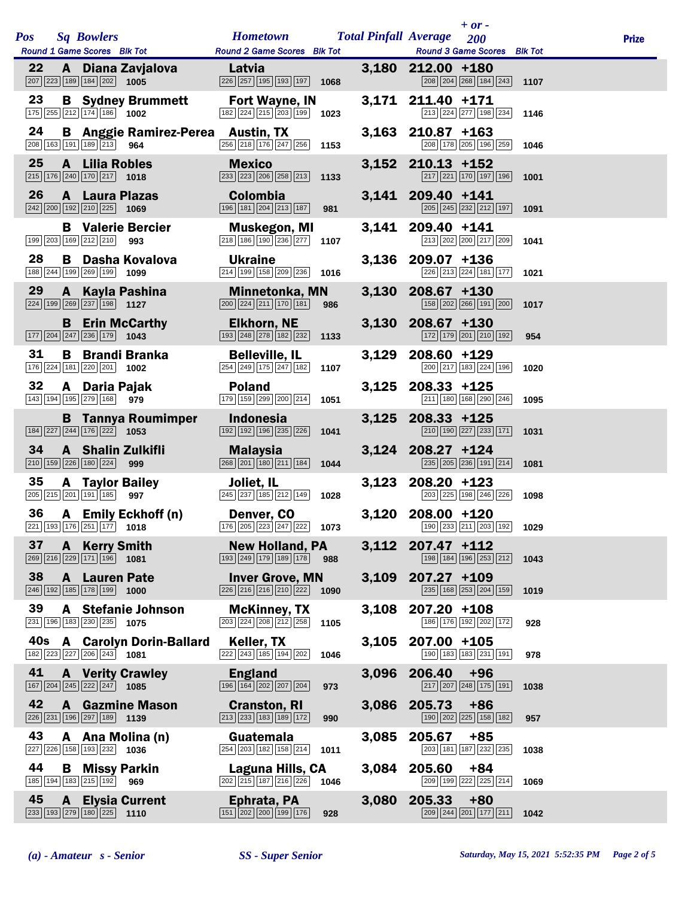|            |              |                                                                                                     |                                                           |                                                                                                |      |       | $+ or -$                                                                                   |      |              |
|------------|--------------|-----------------------------------------------------------------------------------------------------|-----------------------------------------------------------|------------------------------------------------------------------------------------------------|------|-------|--------------------------------------------------------------------------------------------|------|--------------|
| <b>Pos</b> |              | <b>Sq Bowlers</b><br>Round 1 Game Scores Blk Tot                                                    |                                                           | <b>Hometown</b><br><b>Round 2 Game Scores</b> Blk Tot                                          |      |       | <b>Total Pinfall Average</b><br>200<br>Round 3 Game Scores Blk Tot                         |      | <b>Prize</b> |
| 22         |              | $\boxed{207}$ $\boxed{223}$ 189 184 202 1005                                                        | A Diana Zavjalova                                         | Latvia<br>226 257 195 193 197                                                                  | 1068 |       | 3,180 212.00 +180<br>208 204 268 184 243                                                   | 1107 |              |
| 23         |              | 175 255 212 174 186 1002                                                                            | <b>B</b> Sydney Brummett                                  | Fort Wayne, IN<br>182 224 215 203 199                                                          | 1023 |       | 3,171 211.40 +171<br>213 224 277 198 234                                                   | 1146 |              |
| 24         |              | 208 163 191 189 213 964                                                                             | <b>B</b> Anggie Ramirez-Perea Austin, TX                  | 256 218 176 247 256                                                                            | 1153 |       | 3,163 210.87 +163<br>208 178 205 196 259                                                   | 1046 |              |
| 25         |              | A Lilia Robles<br>$\boxed{215}$ $\boxed{176}$ $\boxed{240}$ $\boxed{170}$ $\boxed{217}$ <b>1018</b> |                                                           | <b>Mexico</b><br>233 223 206 258 213                                                           | 1133 |       | 3,152 210.13 +152<br>217 221 170 197 196                                                   | 1001 |              |
| 26         |              | <b>A</b> Laura Plazas<br>$\boxed{242}\boxed{200}\boxed{192}\boxed{210}\boxed{225}$                  | 1069                                                      | <b>Colombia</b><br>196 181 204 213 187                                                         | 981  |       | 3,141 209.40 +141<br>205 245 232 212 197                                                   | 1091 |              |
|            |              | 199 203 169 212 210                                                                                 | <b>B</b> Valerie Bercier<br>993                           | Muskegon, MI<br>218 186 190 236 277                                                            | 1107 |       | 3,141 209.40 +141<br>213 202 200 217 209                                                   | 1041 |              |
| 28         |              | 188 244 199 269 199                                                                                 | <b>B</b> Dasha Kovalova<br>1099                           | <b>Ukraine</b><br>214 199 158 209 236                                                          | 1016 |       | 3,136 209.07 +136<br>226 213 224 181 177                                                   | 1021 |              |
| 29         |              | $\boxed{224}$ 199 269 237 198 1127                                                                  | A Kayla Pashina                                           | <b>Minnetonka, MN</b><br>$\boxed{200}$ $\boxed{224}$ $\boxed{211}$ $\boxed{170}$ $\boxed{181}$ | 986  |       | 3,130 208.67 +130<br>158 202 266 191 200                                                   | 1017 |              |
|            |              | 177 204 247 236 179 1043                                                                            | <b>B</b> Erin McCarthy                                    | <b>Elkhorn, NE</b><br>193 248 278 182 232                                                      | 1133 |       | 3,130 208.67 +130<br>$\boxed{172}$ $\boxed{179}$ $\boxed{201}$ $\boxed{210}$ $\boxed{192}$ | 954  |              |
| 31         |              | 176 224 181 220 201 1002                                                                            | <b>B</b> Brandi Branka                                    | <b>Belleville, IL</b><br>$\boxed{254}$ $\boxed{249}$ $\boxed{175}$ $\boxed{247}$ $\boxed{182}$ | 1107 | 3,129 | 208.60 +129<br>200 217 183 224 196                                                         | 1020 |              |
| 32         |              | A Daria Pajak<br>143 194 195 279 168 979                                                            |                                                           | <b>Poland</b><br>179 159 299 200 214                                                           | 1051 |       | $3,125$ 208.33 +125<br>211 180 168 290 246                                                 | 1095 |              |
|            |              | $\boxed{184}$ $\boxed{227}$ $\boxed{244}$ $\boxed{176}$ $\boxed{222}$ <b>1053</b>                   | <b>B</b> Tannya Roumimper                                 | <b>Indonesia</b><br>192 192 196 235 226                                                        | 1041 | 3,125 | $208.33 + 125$<br>210 190 227 233 171                                                      | 1031 |              |
| 34         |              | 210 159 226 180 224                                                                                 | <b>A</b> Shalin Zulkifli<br>999                           | <b>Malaysia</b><br>268 201 180 211 184                                                         | 1044 |       | 3,124 208.27 +124<br>235 205 236 191 214                                                   | 1081 |              |
| 35         |              | <b>A</b> Taylor Bailey<br>205 215 201 191 185                                                       | 997                                                       | Joliet, IL<br>245 237 185 212 149                                                              | 1028 | 3,123 | $208.20 + 123$<br>203 225 198 246 226                                                      | 1098 |              |
| 36         |              |                                                                                                     | A Emily Eckhoff (n)<br>$\boxed{221}$ 193 176 251 177 1018 | Denver, CO                                                                                     |      |       | 3,120 208.00 +120<br>$\frac{176}{205}$ 205 223 247 222 1073 190 233 211 203 192 1029       |      |              |
| 37         | $\mathbf{A}$ | <b>Kerry Smith</b><br>269 216 229 171 196 1081                                                      |                                                           | <b>New Holland, PA</b><br>193 249 179 189 178                                                  | 988  | 3,112 | $207.47$ +112<br>198 184 196 253 212                                                       | 1043 |              |
| 38         |              | <b>A</b> Lauren Pate<br>246 192 185 178 199                                                         | 1000                                                      | <b>Inver Grove, MN</b><br>226 216 216 210 222                                                  | 1090 | 3,109 | 207.27 +109<br>235 168 253 204 159                                                         | 1019 |              |
| 39         |              | 231 196 183 230 235 1075                                                                            | A Stefanie Johnson                                        | <b>McKinney, TX</b><br>203 224 208 212 258                                                     | 1105 | 3,108 | $207.20 + 108$<br>186 176 192 202 172                                                      | 928  |              |
| 40s        |              | $\boxed{182}$ $\boxed{223}$ $\boxed{227}$ $\boxed{206}$ $\boxed{243}$ <b>1081</b>                   | <b>A</b> Carolyn Dorin-Ballard                            | Keller, TX<br>$\boxed{222}\boxed{243}\boxed{185}\boxed{194}\boxed{202}$                        | 1046 | 3,105 | 207.00 +105<br>190   183   183   231   191                                                 | 978  |              |
| 41         |              | $\boxed{167}$ $\boxed{204}$ $\boxed{245}$ $\boxed{222}$ $\boxed{247}$                               | <b>A</b> Verity Crawley<br>1085                           | <b>England</b><br>196 164 202 207 204                                                          | 973  | 3,096 | 206.40<br>$+96$<br>217 207 248 175 191                                                     | 1038 |              |
| 42         | A            | 226 231 196 297 189 1139                                                                            | <b>Gazmine Mason</b>                                      | <b>Cranston, RI</b><br>213 233 183 189 172                                                     | 990  | 3,086 | 205.73<br>$+86$<br>190 202 225 158 182                                                     | 957  |              |
| 43         |              | $\boxed{227}$ $\boxed{226}$ 158 193 232 1036                                                        | A Ana Molina (n)                                          | Guatemala<br>254 203 182 158 214                                                               | 1011 | 3,085 | 205.67<br>$+85$<br>203 181 187 232 235                                                     | 1038 |              |
| 44         | В            | 185 194 183 215 192                                                                                 | <b>Missy Parkin</b><br>969                                | Laguna Hills, CA<br>202 215 187 216 226                                                        | 1046 | 3,084 | 205.60<br>$+84$<br>209 199 222 225 214                                                     | 1069 |              |
| 45         | A            | 233 193 279 180 225                                                                                 | <b>Elysia Current</b><br>1110                             | Ephrata, PA<br>151 202 200 199 176                                                             | 928  | 3,080 | 205.33<br>$+80$<br>209 244 201 177 211                                                     | 1042 |              |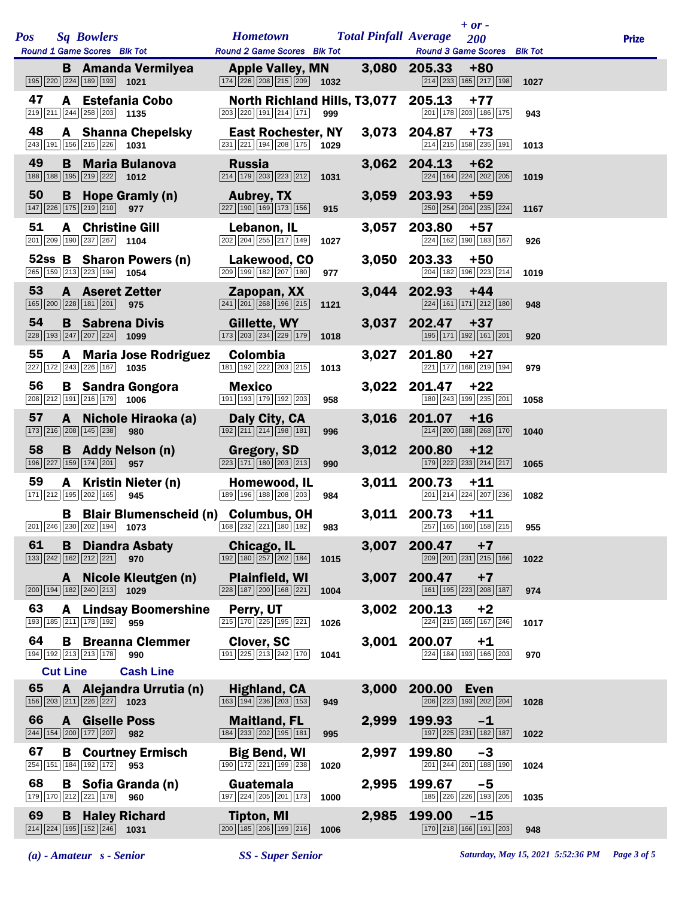|            |                 |                                                                                                                          |                                                                                                              |      |       | $+$ or $-$                                                                                     |              |  |
|------------|-----------------|--------------------------------------------------------------------------------------------------------------------------|--------------------------------------------------------------------------------------------------------------|------|-------|------------------------------------------------------------------------------------------------|--------------|--|
| <b>Pos</b> |                 | <b>Sq Bowlers</b>                                                                                                        | <b>Hometown Total Pinfall Average</b>                                                                        |      |       | 200                                                                                            | <b>Prize</b> |  |
|            |                 | Round 1 Game Scores Blk Tot Round 2 Game Scores Blk Tot                                                                  |                                                                                                              |      |       | <b>Round 3 Game Scores</b> Blk Tot                                                             |              |  |
|            |                 | <b>B</b> Amanda Vermilyea<br>195 220 224 189 193 1021                                                                    | <b>Apple Valley, MN</b><br>$\boxed{174}$ $\boxed{226}$ $\boxed{208}$ $\boxed{215}$ $\boxed{209}$ <b>1032</b> |      |       | 3,080 205.33<br>$+80$<br>$\boxed{214}$ $\boxed{233}$ $\boxed{165}$ $\boxed{217}$ $\boxed{198}$ | 1027         |  |
| 47         |                 | A Estefania Cobo<br>$\boxed{219}$ $\boxed{211}$ $\boxed{244}$ $\boxed{258}$ $\boxed{203}$ <b>1135</b>                    | 203 220 191 214 171                                                                                          | 999  |       | North Richland Hills, T3,077 205.13 +77<br>201 178 203 186 175                                 | 943          |  |
| 48         |                 | <b>A</b> Shanna Chepelsky<br>$\boxed{243}$ 191 156 215 226 1031                                                          | East Rochester, NY<br>231 221 194 208 175                                                                    | 1029 |       | 3,073 204.87<br>$+73$<br>214 215 158 235 191                                                   | 1013         |  |
| 49         |                 | <b>B</b> Maria Bulanova<br>188 188 195 219 222 1012                                                                      | <b>Russia</b><br>$\boxed{214}$ $\boxed{179}$ $\boxed{203}$ $\boxed{223}$ $\boxed{212}$                       | 1031 |       | 3,062 204.13<br>$+62$<br>224 164 224 202 205                                                   | 1019         |  |
| 50         |                 | <b>B</b> Hope Gramly (n)<br>$\boxed{147}$ $\boxed{226}$ $\boxed{175}$ $\boxed{219}$ $\boxed{210}$ <b>977</b>             | <b>Aubrey, TX</b><br>$\boxed{227}$ $\boxed{190}$ $\boxed{169}$ $\boxed{173}$ $\boxed{156}$                   | 915  |       | 3,059 203.93 +59<br>250 254 204 235 224                                                        | 1167         |  |
| 51         |                 | <b>A</b> Christine Gill<br>$\boxed{201}$ $\boxed{209}$ $\boxed{190}$ $\boxed{237}$ $\boxed{267}$ 1104                    | Lebanon, IL<br>202 204 255 217 149                                                                           | 1027 | 3,057 | 203.80<br>$+57$<br>224 162 190 183 167                                                         | 926          |  |
|            |                 | 52ss B Sharon Powers (n) Lakewood, CO<br>265 159 213 223 194 1054                                                        | 209 199 182 207 180                                                                                          | 977  |       | 3,050 203.33<br>$+50$<br>204 182 196 223 214                                                   | 1019         |  |
| 53         |                 | <b>A</b> Aseret Zetter<br>165 200 228 181 201 975                                                                        | <b>Example 2</b> Zapopan, XX<br>$\boxed{241}$ $\boxed{201}$ $\boxed{268}$ $\boxed{196}$ $\boxed{215}$        | 1121 |       | 3,044 202.93 +44<br>224 161 171 212 180                                                        | 948          |  |
| 54         |                 | <b>B</b> Sabrena Divis<br>228 193 247 207 224 1099                                                                       | <b>Gillette, WY</b><br>$\boxed{173}$ $\boxed{203}$ $\boxed{234}$ $\boxed{229}$ $\boxed{179}$                 | 1018 |       | 3,037 202.47<br>$+37$<br>195 171 192 161 201                                                   | 920          |  |
| 55         |                 | A Maria Jose Rodriguez Colombia<br>227 172 243 226 167 1035                                                              | 181 192 222 203 215                                                                                          | 1013 |       | 3,027 201.80<br>+27<br>221 177 168 219 194                                                     | 979          |  |
| 56         |                 | <b>B</b> Sandra Gongora<br>$\boxed{208}$ $\boxed{212}$ $\boxed{191}$ $\boxed{216}$ $\boxed{179}$ <b>1006</b>             | <b>Mexico</b><br>191 193 179 192 203                                                                         | 958  |       | 3,022 201.47<br>$+22$<br>180 243 199 235 201                                                   | 1058         |  |
| 57         |                 | A Nichole Hiraoka (a)<br>$\boxed{173}$ $\boxed{216}$ $\boxed{208}$ $\boxed{145}$ $\boxed{238}$<br>980                    | Daly City, CA<br>$\boxed{192}$ $\boxed{211}$ $\boxed{214}$ $\boxed{198}$ $\boxed{181}$                       | 996  |       | 3,016 201.07<br>$+16$<br>214 200 188 268 170                                                   | 1040         |  |
| 58         |                 | <b>B</b> Addy Nelson (n)<br>196 227 159 174 201 957                                                                      | <b>Gregory, SD</b><br>$\boxed{223}\boxed{171}\boxed{180}\boxed{203}\boxed{213}$                              | 990  |       | 3,012 200.80<br>$+12$<br>179 222 233 214 217                                                   | 1065         |  |
| 59         |                 | A Kristin Nieter (n)<br>171 212 195 202 165<br>945                                                                       | Homewood, IL<br>189 196 188 208 203                                                                          | 984  |       | 3,011 200.73<br>$+11$<br>201 214 224 207 236                                                   | 1082         |  |
|            |                 | <b>B</b> Blair Blumenscheid (n) Columbus, OH<br>201 246 230 202 194 1073 168 232 221 180 182 983 257 165 166 168 215 955 |                                                                                                              |      |       | $3,011$ 200.73 +11                                                                             |              |  |
| 61         | B               | <b>Diandra Asbaty</b><br>$\boxed{133}$ $\boxed{242}$ $\boxed{162}$ $\boxed{212}$ $\boxed{221}$<br>970                    | Chicago, IL<br>$\boxed{192}$ $\boxed{180}$ $\boxed{257}$ $\boxed{202}$ $\boxed{184}$                         | 1015 | 3,007 | 200.47<br>$+7$<br>209 201 231 215 166                                                          | 1022         |  |
|            |                 | A Nicole Kleutgen (n)<br>200 194 182 240 213<br>1029                                                                     | <b>Plainfield, WI</b><br>228 187 200 168 221                                                                 | 1004 | 3,007 | 200.47<br>$+7$<br>161 195 223 208 187                                                          | 974          |  |
| 63         |                 | <b>A</b> Lindsay Boomershine<br>193 185 211 178 192 959                                                                  | Perry, UT<br>215 170 225 195 221                                                                             | 1026 | 3,002 | 200.13<br>$+2$<br>224 215 165 167 246                                                          | 1017         |  |
| 64         |                 | <b>B</b> Breanna Clemmer<br>194 192 213 213 178<br>990                                                                   | Clover, SC<br>191 225 213 242 170                                                                            | 1041 | 3,001 | 200.07<br>$+1$<br>224 184 193 166 203                                                          | 970          |  |
|            | <b>Cut Line</b> | <b>Cash Line</b>                                                                                                         |                                                                                                              |      |       |                                                                                                |              |  |
| 65         |                 | A Alejandra Urrutia (n)<br>156 203 211 226 227 1023                                                                      | <b>Highland, CA</b><br>163 194 236 203 153                                                                   | 949  | 3,000 | 200.00<br><b>Even</b><br>206 223 193 202 204                                                   | 1028         |  |
| 66         | $\mathbf{A}$    | <b>Giselle Poss</b><br>244 154 200 177 207<br>982                                                                        | <b>Maitland, FL</b><br>184 233 202 195 181                                                                   | 995  | 2,999 | 199.93<br>$-1$<br>197 225 231 182 187                                                          | 1022         |  |
| 67         |                 | <b>B</b> Courtney Ermisch<br>254 151 184 192 172<br>953                                                                  | <b>Big Bend, WI</b><br>190 172 221 199 238                                                                   | 1020 | 2,997 | 199.80<br>$-3$<br>201 244 201 188 190                                                          | 1024         |  |
| 68         | В               | Sofia Granda (n)<br>179 170 212 221 178<br>960                                                                           | Guatemala<br>197 224 205 201 173                                                                             | 1000 | 2,995 | 199.67<br>$-5$<br>185 226 226 193 205                                                          | 1035         |  |
| 69         | B               | <b>Haley Richard</b><br>$\boxed{214}$ $\boxed{224}$ $\boxed{195}$ $\boxed{152}$ $\boxed{246}$ <b>1031</b>                | <b>Tipton, MI</b><br>200 185 206 199 216                                                                     | 1006 | 2,985 | 199.00<br>$-15$<br>170 218 166 191 203                                                         | 948          |  |

*(a) - Amateur s - Senior SS - Super Senior Saturday, May 15, 2021 5:52:36 PM Page 3 of 5*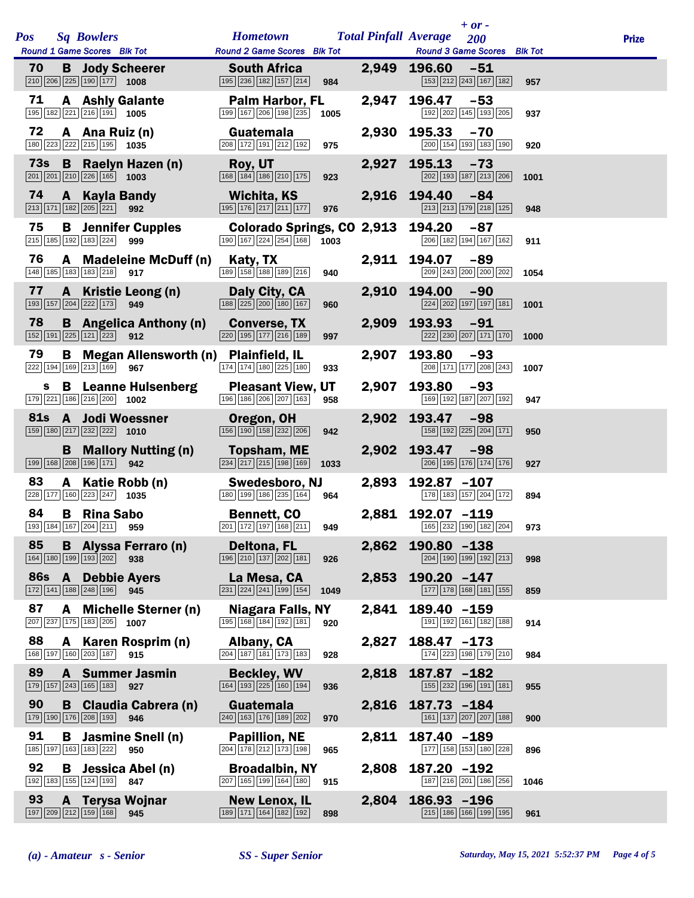|            |   |              |                                                                                                             |                                                      |                                                   |      |       | $+$ or $-$                                                           |      |              |
|------------|---|--------------|-------------------------------------------------------------------------------------------------------------|------------------------------------------------------|---------------------------------------------------|------|-------|----------------------------------------------------------------------|------|--------------|
| <b>Pos</b> |   |              | <b>Sq Bowlers</b><br>Round 1 Game Scores Blk Tot                                                            |                                                      | <b>Hometown</b><br>Round 2 Game Scores Blk Tot    |      |       | <b>Total Pinfall Average</b><br>200<br>Round 3 Game Scores Blk Tot   |      | <b>Prize</b> |
| 70         |   |              | <b>B</b> Jody Scheerer<br>$\boxed{210}$ $\boxed{206}$ $\boxed{225}$ $\boxed{190}$ $\boxed{177}$ <b>1008</b> |                                                      | <b>South Africa</b><br>195 236 182 157 214        | 984  |       | 2,949 196.60<br>-51<br>153 212 243 167 182                           | 957  |              |
| 71         |   |              | <b>A</b> Ashly Galante<br>$\boxed{195}$ $\boxed{182}$ $\boxed{221}$ $\boxed{216}$ $\boxed{191}$ <b>1005</b> |                                                      | <b>Palm Harbor, FL</b><br>199 167 206 198 235     | 1005 | 2,947 | 196.47<br>$-53$<br>192 202 145 193 205                               | 937  |              |
| 72         |   |              | A Ana Ruiz (n)<br>180 223 222 215 195 1035                                                                  |                                                      | Guatemala<br>208 172 191 212 192                  | 975  | 2,930 | 195.33<br>$-70$<br>$\overline{200}$ 154 193 183 190                  | 920  |              |
|            |   |              | $\boxed{201}$ $\boxed{201}$ $\boxed{210}$ $\boxed{226}$ 165 1003                                            | 73s B Raelyn Hazen (n)                               | Roy, UT<br>168 184 186 210 175                    | 923  | 2,927 | <b>195.13</b><br>$-73$<br>202 193 187 213 206                        | 1001 |              |
| 74         |   | $\mathbf{A}$ | <b>Kayla Bandy</b><br>$\boxed{213}$ $\boxed{171}$ $\boxed{182}$ $\boxed{205}$ $\boxed{221}$                 | 992                                                  | Wichita, KS<br>195 176 217 211 177                | 976  |       | 2,916 194.40<br>$-84$<br>213 213 179 218 125                         | 948  |              |
| 75         |   |              | $\boxed{215}$ $\boxed{185}$ $\boxed{192}$ $\boxed{183}$ $\boxed{224}$                                       | <b>B</b> Jennifer Cupples<br>999                     | Colorado Springs, CO 2,913<br>190 167 224 254 168 | 1003 |       | 194.20<br>$-87$<br>206 182 194 167 162                               | 911  |              |
| 76         |   |              | 148 185 183 183 218                                                                                         | A Madeleine McDuff (n)<br>917                        | Katy, TX<br>189 158 188 189 216                   | 940  |       | 2,911 194.07<br>-89<br>209 243 200 200 202                           | 1054 |              |
| 77         |   |              | $\boxed{193}$ $\boxed{157}$ $\boxed{204}$ $\boxed{222}$ $\boxed{173}$ 949                                   | A Kristie Leong (n)                                  | Daly City, CA<br>188 225 200 180 167              | 960  | 2,910 | 194.00<br>$-90$<br>224 202 197 197 181                               | 1001 |              |
| 78         |   |              | $\boxed{152}$ $\boxed{191}$ $\boxed{225}$ $\boxed{121}$ $\boxed{223}$ 912                                   | <b>B</b> Angelica Anthony (n)                        | <b>Converse, TX</b><br>220 195 177 216 189        | 997  | 2,909 | 193.93<br>$-91$<br>222 230 207 171 170                               | 1000 |              |
| 79         |   |              | 222 194 169 213 169                                                                                         | <b>B</b> Megan Allensworth (n) Plainfield, IL<br>967 | 174 174 180 225 180                               | 933  | 2,907 | 193.80<br>-93<br>208 171 177 208 243                                 | 1007 |              |
|            | s |              | $\boxed{179}$ $\boxed{221}$ $\boxed{186}$ $\boxed{216}$ $\boxed{200}$ <b>1002</b>                           | <b>B</b> Leanne Hulsenberg                           | <b>Pleasant View, UT</b><br>196 186 206 207 163   | 958  | 2,907 | 193.80<br>$-93$<br>169 192 187 207 192                               | 947  |              |
| <b>81s</b> |   |              | <b>A</b> Jodi Woessner<br>$\boxed{159}$ $\boxed{180}$ $\boxed{217}$ $\boxed{232}$ $\boxed{222}$ <b>1010</b> |                                                      | Oregon, OH<br>156 190 158 232 206                 | 942  | 2,902 | 193.47<br>$-98$<br>158 192 225 204 171                               | 950  |              |
|            |   | B.           | 199 168 208 196 171 942                                                                                     | <b>Mallory Nutting (n)</b>                           | Topsham, ME<br>234 217 215 198 169                | 1033 |       | 2,902 193.47<br>-98<br>206 195 176 174 176                           | 927  |              |
| 83         |   |              | $\boxed{228}$ 177 160 223 247 1035                                                                          | A Katie Robb (n)                                     | Swedesboro, NJ<br>180 199 186 235 164             | 964  | 2,893 | 192.87 -107<br>178 183 157 204 172                                   | 894  |              |
| 84         |   |              | <b>B</b> Rina Sabo<br>193 184 167 204 211 959                                                               |                                                      | <b>Bennett, CO</b>                                |      |       | 2,881 192.07 -119<br>201 172 197 168 211 949 165 232 190 182 204 973 |      |              |
| 85         |   |              | 164 180 199 193 202                                                                                         | <b>B</b> Alyssa Ferraro (n)<br>938                   | Deltona, FL<br>196 210 137 202 181                | 926  | 2,862 | 190.80 -138<br>204 190 199 192 213                                   | 998  |              |
| <b>86s</b> |   |              | <b>A</b> Debbie Ayers<br>172 141 188 248 196                                                                | 945                                                  | La Mesa, CA<br>231 224 241 199 154                | 1049 | 2,853 | $190.20 - 147$<br>177 178 168 181 155                                | 859  |              |
| 87         |   | A            | $\boxed{207}$ $\boxed{237}$ $\boxed{175}$ $\boxed{183}$ $\boxed{205}$ <b>1007</b>                           | <b>Michelle Sterner (n)</b>                          | <b>Niagara Falls, NY</b><br>195 168 184 192 181   | 920  | 2,841 | 189.40 -159<br>191 192 161 182 188                                   | 914  |              |
| 88         |   |              | 168 197 160 203 187                                                                                         | A Karen Rosprim (n)<br>915                           | Albany, CA<br>204 187 181 173 183                 | 928  | 2,827 | $188.47 - 173$<br>174 223 198 179 210                                | 984  |              |
| 89         |   |              | 179 157 243 165 183                                                                                         | <b>A</b> Summer Jasmin<br>927                        | <b>Beckley, WV</b><br>164 193 225 160 194         | 936  | 2,818 | 187.87 -182<br>155 232 196 191 181                                   | 955  |              |
| 90         |   |              | 179 190 176 208 193                                                                                         | <b>B</b> Claudia Cabrera (n)<br>946                  | Guatemala<br>240 163 176 189 202                  | 970  | 2,816 | 187.73 -184<br>161 137 207 207 188                                   | 900  |              |
| 91         |   | В            | 185 197 163 183 222                                                                                         | Jasmine Snell (n)<br>950                             | <b>Papillion, NE</b><br>204 178 212 173 198       | 965  | 2,811 | 187.40 -189<br>177 158 153 180 228                                   | 896  |              |
| 92         |   | В            | 192 183 155 124 193                                                                                         | Jessica Abel (n)<br>847                              | <b>Broadalbin, NY</b><br>207 165 199 164 180      | 915  | 2,808 | 187.20 -192<br>187 216 201 186 256                                   | 1046 |              |
| 93         |   | A            | <b>Terysa Wojnar</b><br>$\boxed{197}$ $\boxed{209}$ $\boxed{212}$ $\boxed{159}$ $\boxed{168}$               | 945                                                  | <b>New Lenox, IL</b><br>189 171 164 182 192       | 898  | 2,804 | 186.93 -196<br>215 186 166 199 195                                   | 961  |              |
|            |   |              |                                                                                                             |                                                      |                                                   |      |       |                                                                      |      |              |